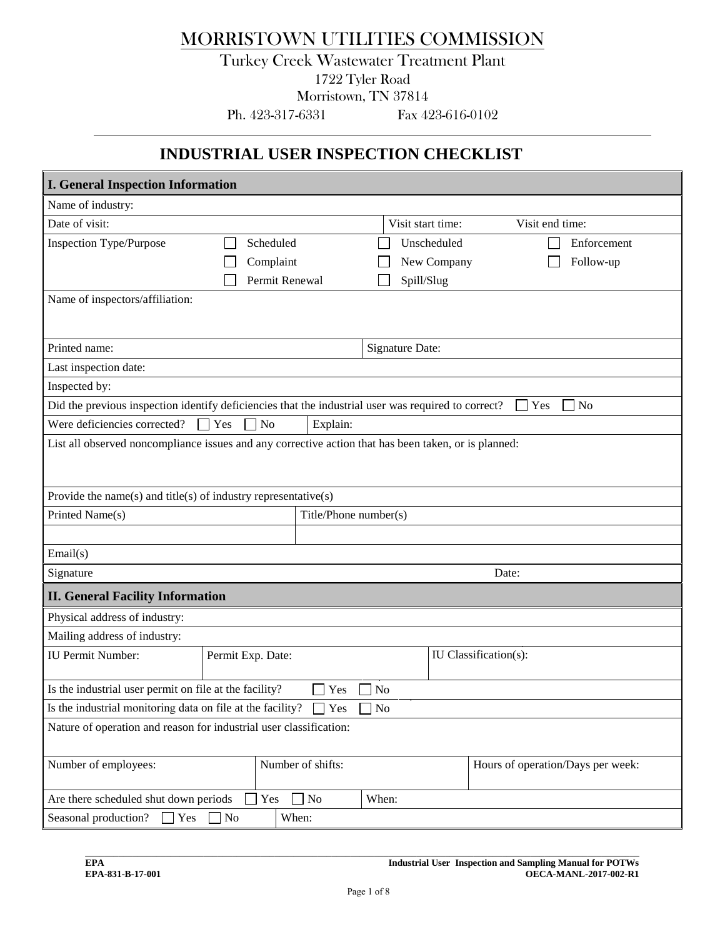## MORRISTOWN UTILITIES COMMISSION

## Turkey Creek Wastewater Treatment Plant 1722 Tyler Road

Morristown, TN 37814

Ph. 423-317-6331 Fax 423-616-0102

## **INDUSTRIAL USER INSPECTION CHECKLIST**

| <b>I. General Inspection Information</b>                                                             |                            |                       |                       |                                   |  |
|------------------------------------------------------------------------------------------------------|----------------------------|-----------------------|-----------------------|-----------------------------------|--|
| Name of industry:                                                                                    |                            |                       |                       |                                   |  |
| Date of visit:                                                                                       |                            |                       | Visit start time:     | Visit end time:                   |  |
| <b>Inspection Type/Purpose</b>                                                                       | Scheduled                  |                       | Unscheduled           | Enforcement                       |  |
|                                                                                                      | Complaint                  |                       | New Company           | Follow-up                         |  |
|                                                                                                      | Permit Renewal             |                       | Spill/Slug            |                                   |  |
| Name of inspectors/affiliation:                                                                      |                            |                       |                       |                                   |  |
|                                                                                                      |                            |                       |                       |                                   |  |
| Printed name:                                                                                        |                            |                       | Signature Date:       |                                   |  |
| Last inspection date:                                                                                |                            |                       |                       |                                   |  |
| Inspected by:                                                                                        |                            |                       |                       |                                   |  |
| Did the previous inspection identify deficiencies that the industrial user was required to correct?  |                            |                       |                       | <b>Yes</b><br>N <sub>o</sub>      |  |
| Were deficiencies corrected?                                                                         | Yes<br>N <sub>o</sub>      | Explain:              |                       |                                   |  |
| List all observed noncompliance issues and any corrective action that has been taken, or is planned: |                            |                       |                       |                                   |  |
|                                                                                                      |                            |                       |                       |                                   |  |
|                                                                                                      |                            |                       |                       |                                   |  |
| Provide the name(s) and title(s) of industry representative(s)                                       |                            |                       |                       |                                   |  |
| Printed Name(s)                                                                                      |                            | Title/Phone number(s) |                       |                                   |  |
|                                                                                                      |                            |                       |                       |                                   |  |
| Email(s)                                                                                             |                            |                       |                       |                                   |  |
| Signature                                                                                            |                            |                       | Date:                 |                                   |  |
| <b>II. General Facility Information</b>                                                              |                            |                       |                       |                                   |  |
| Physical address of industry:                                                                        |                            |                       |                       |                                   |  |
| Mailing address of industry:                                                                         |                            |                       |                       |                                   |  |
| <b>IU Permit Number:</b>                                                                             | Permit Exp. Date:          |                       | IU Classification(s): |                                   |  |
| Is the industrial user permit on file at the facility?                                               |                            | Yes<br>N <sub>o</sub> |                       |                                   |  |
| Is the industrial monitoring data on file at the facility? $\Box$ Yes $\Box$ No                      |                            |                       |                       |                                   |  |
|                                                                                                      |                            |                       |                       |                                   |  |
| Nature of operation and reason for industrial user classification:                                   |                            |                       |                       |                                   |  |
| Number of employees:                                                                                 | Number of shifts:          |                       |                       | Hours of operation/Days per week: |  |
|                                                                                                      |                            |                       |                       |                                   |  |
| Are there scheduled shut down periods                                                                | N <sub>o</sub><br>Yes      | When:                 |                       |                                   |  |
| Seasonal production?<br>$\Box$ Yes                                                                   | When:<br>$\blacksquare$ No |                       |                       |                                   |  |

**\_\_\_\_\_\_\_\_\_\_\_\_\_\_\_\_\_\_\_\_\_\_\_\_\_\_\_\_\_\_\_\_\_\_\_\_\_\_\_\_\_\_\_\_\_\_\_\_\_\_\_\_\_\_\_\_\_\_\_\_\_\_\_\_\_\_\_\_\_\_\_\_\_\_\_\_\_\_\_\_\_\_\_\_\_\_\_\_\_\_\_\_\_\_\_\_\_\_\_\_\_\_\_\_\_\_\_\_\_\_\_\_\_\_\_\_\_**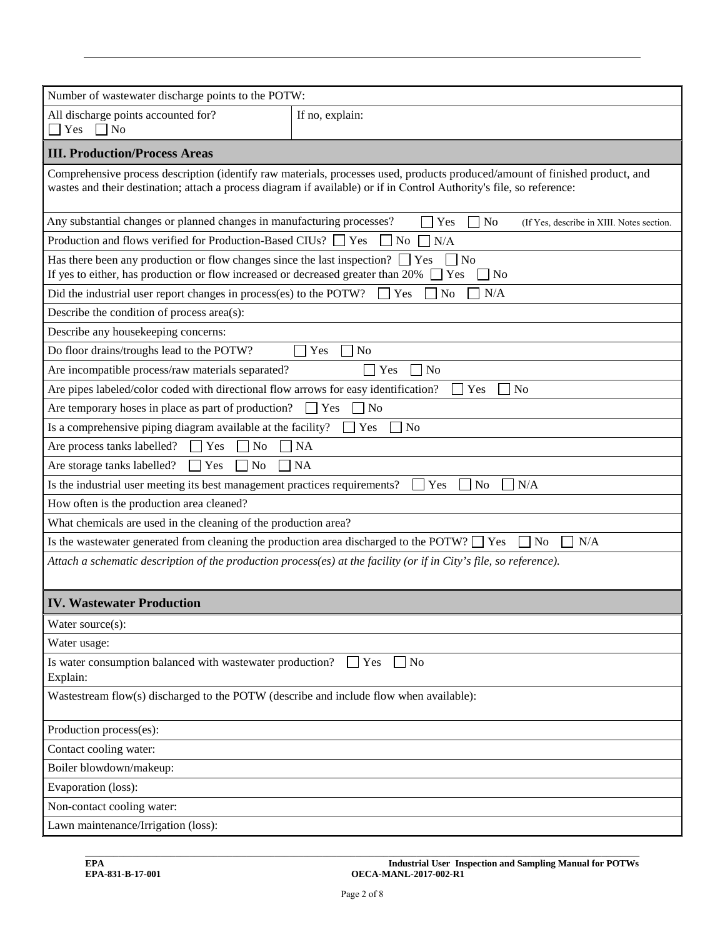| Number of wastewater discharge points to the POTW:                                                                                                                                                                                                    |                       |  |  |  |  |  |
|-------------------------------------------------------------------------------------------------------------------------------------------------------------------------------------------------------------------------------------------------------|-----------------------|--|--|--|--|--|
| All discharge points accounted for?                                                                                                                                                                                                                   | If no, explain:       |  |  |  |  |  |
| Yes $\n $ No                                                                                                                                                                                                                                          |                       |  |  |  |  |  |
| <b>III. Production/Process Areas</b>                                                                                                                                                                                                                  |                       |  |  |  |  |  |
| Comprehensive process description (identify raw materials, processes used, products produced/amount of finished product, and<br>wastes and their destination; attach a process diagram if available) or if in Control Authority's file, so reference: |                       |  |  |  |  |  |
| Any substantial changes or planned changes in manufacturing processes?<br>Yes<br>$\perp$ No<br>(If Yes, describe in XIII. Notes section.                                                                                                              |                       |  |  |  |  |  |
| Production and flows verified for Production-Based CIUs? [<br>Yes<br>N <sub>o</sub><br>N/A                                                                                                                                                            |                       |  |  |  |  |  |
| Has there been any production or flow changes since the last inspection?<br>$ $   Yes<br>$\vert$ No<br>If yes to either, has production or flow increased or decreased greater than 20%<br>Yes<br>No                                                  |                       |  |  |  |  |  |
| Did the industrial user report changes in process(es) to the POTW?                                                                                                                                                                                    | N/A<br>Yes<br>No      |  |  |  |  |  |
| Describe the condition of process area(s):                                                                                                                                                                                                            |                       |  |  |  |  |  |
| Describe any housekeeping concerns:                                                                                                                                                                                                                   |                       |  |  |  |  |  |
| Do floor drains/troughs lead to the POTW?                                                                                                                                                                                                             | Yes<br>N <sub>o</sub> |  |  |  |  |  |
| Are incompatible process/raw materials separated?                                                                                                                                                                                                     | N <sub>o</sub><br>Yes |  |  |  |  |  |
| Are pipes labeled/color coded with directional flow arrows for easy identification?                                                                                                                                                                   | Yes<br>N <sub>o</sub> |  |  |  |  |  |
| Are temporary hoses in place as part of production?                                                                                                                                                                                                   | Yes<br>N <sub>o</sub> |  |  |  |  |  |
| Is a comprehensive piping diagram available at the facility?                                                                                                                                                                                          | Yes<br>N <sub>0</sub> |  |  |  |  |  |
| Are process tanks labelled?<br>Yes<br>N <sub>o</sub>                                                                                                                                                                                                  | NA                    |  |  |  |  |  |
| Are storage tanks labelled?<br>N <sub>o</sub><br>Yes<br>$\blacksquare$                                                                                                                                                                                | <b>NA</b>             |  |  |  |  |  |
| Is the industrial user meeting its best management practices requirements?                                                                                                                                                                            | Yes<br>No<br>N/A      |  |  |  |  |  |
| How often is the production area cleaned?                                                                                                                                                                                                             |                       |  |  |  |  |  |
| What chemicals are used in the cleaning of the production area?                                                                                                                                                                                       |                       |  |  |  |  |  |
| Is the wastewater generated from cleaning the production area discharged to the POTW? $\Box$ Yes                                                                                                                                                      | N/A<br>N <sub>o</sub> |  |  |  |  |  |
| Attach a schematic description of the production process(es) at the facility (or if in City's file, so reference).                                                                                                                                    |                       |  |  |  |  |  |
| <b>IV. Wastewater Production</b>                                                                                                                                                                                                                      |                       |  |  |  |  |  |
| Water source(s):                                                                                                                                                                                                                                      |                       |  |  |  |  |  |
| Water usage:                                                                                                                                                                                                                                          |                       |  |  |  |  |  |
| Is water consumption balanced with wastewater production?<br>$\Box$ Yes<br><b>No</b><br>Explain:                                                                                                                                                      |                       |  |  |  |  |  |
| Wastestream flow(s) discharged to the POTW (describe and include flow when available):                                                                                                                                                                |                       |  |  |  |  |  |
| Production process(es):                                                                                                                                                                                                                               |                       |  |  |  |  |  |
| Contact cooling water:                                                                                                                                                                                                                                |                       |  |  |  |  |  |
| Boiler blowdown/makeup:                                                                                                                                                                                                                               |                       |  |  |  |  |  |
| Evaporation (loss):                                                                                                                                                                                                                                   |                       |  |  |  |  |  |
| Non-contact cooling water:                                                                                                                                                                                                                            |                       |  |  |  |  |  |
| Lawn maintenance/Irrigation (loss):                                                                                                                                                                                                                   |                       |  |  |  |  |  |

**\_\_\_\_\_\_\_\_\_\_\_\_\_\_\_\_\_\_\_\_\_\_\_\_\_\_\_\_\_\_\_\_\_\_\_\_\_\_\_\_\_\_\_\_\_\_\_\_\_\_\_\_\_\_\_\_\_\_\_\_\_\_\_\_\_\_\_\_\_\_\_\_\_\_\_\_\_\_\_\_\_\_\_\_\_\_\_\_\_\_\_\_\_\_\_\_\_\_\_\_\_\_\_\_\_\_\_\_\_\_\_\_\_\_\_\_\_**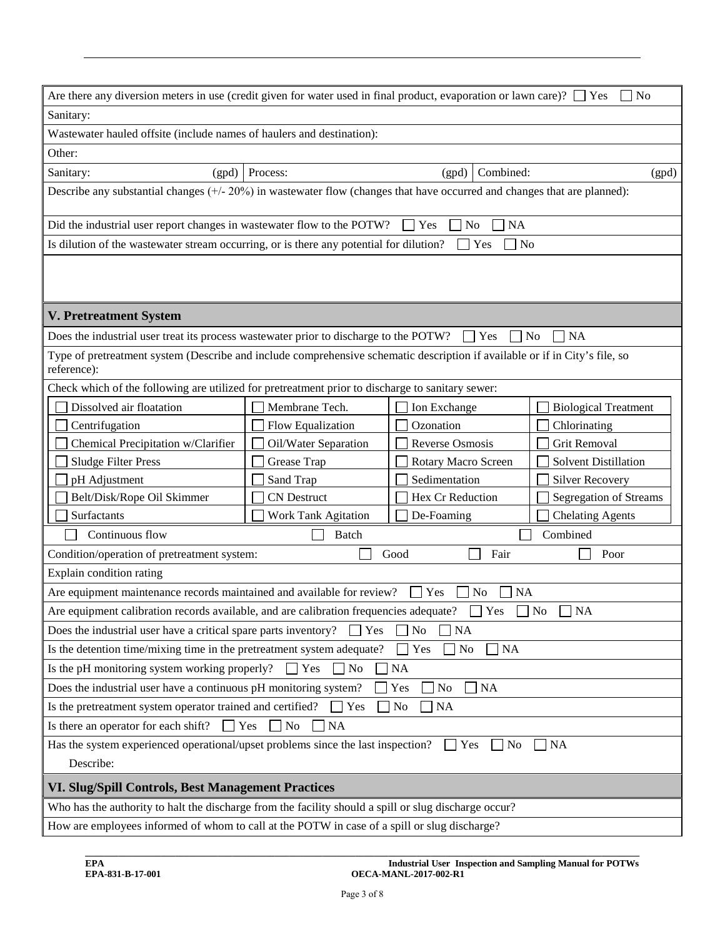|                                                                                                                                            | Are there any diversion meters in use (credit given for water used in final product, evaporation or lawn care)? $\Box$ Yes<br>N <sub>0</sub> |                                 |                             |  |  |
|--------------------------------------------------------------------------------------------------------------------------------------------|----------------------------------------------------------------------------------------------------------------------------------------------|---------------------------------|-----------------------------|--|--|
| Sanitary:                                                                                                                                  |                                                                                                                                              |                                 |                             |  |  |
| Wastewater hauled offsite (include names of haulers and destination):                                                                      |                                                                                                                                              |                                 |                             |  |  |
| Other:                                                                                                                                     |                                                                                                                                              |                                 |                             |  |  |
| Sanitary:<br>(gpd)                                                                                                                         | Process:                                                                                                                                     | Combined:<br>(gpd)              | (gpd)                       |  |  |
| Describe any substantial changes $(+/20%)$ in wastewater flow (changes that have occurred and changes that are planned):                   |                                                                                                                                              |                                 |                             |  |  |
|                                                                                                                                            |                                                                                                                                              |                                 |                             |  |  |
| Did the industrial user report changes in wastewater flow to the POTW?                                                                     |                                                                                                                                              | No<br>NA<br>Yes                 |                             |  |  |
| Is dilution of the wastewater stream occurring, or is there any potential for dilution?                                                    |                                                                                                                                              | Yes<br>No                       |                             |  |  |
|                                                                                                                                            |                                                                                                                                              |                                 |                             |  |  |
|                                                                                                                                            |                                                                                                                                              |                                 |                             |  |  |
|                                                                                                                                            |                                                                                                                                              |                                 |                             |  |  |
| <b>V. Pretreatment System</b>                                                                                                              |                                                                                                                                              |                                 |                             |  |  |
| Does the industrial user treat its process wastewater prior to discharge to the POTW?                                                      |                                                                                                                                              | Yes<br>$\overline{\phantom{a}}$ | NA<br>No                    |  |  |
| Type of pretreatment system (Describe and include comprehensive schematic description if available or if in City's file, so<br>reference): |                                                                                                                                              |                                 |                             |  |  |
| Check which of the following are utilized for pretreatment prior to discharge to sanitary sewer:                                           |                                                                                                                                              |                                 |                             |  |  |
| Dissolved air floatation                                                                                                                   | Membrane Tech.                                                                                                                               | Ion Exchange                    | <b>Biological Treatment</b> |  |  |
| Centrifugation                                                                                                                             | Flow Equalization                                                                                                                            | Ozonation                       | Chlorinating                |  |  |
| Chemical Precipitation w/Clarifier                                                                                                         | Oil/Water Separation                                                                                                                         | Reverse Osmosis                 | Grit Removal                |  |  |
| Sludge Filter Press                                                                                                                        | Grease Trap                                                                                                                                  | Rotary Macro Screen             | Solvent Distillation        |  |  |
| pH Adjustment                                                                                                                              | Sand Trap                                                                                                                                    | Sedimentation                   | Silver Recovery             |  |  |
| Belt/Disk/Rope Oil Skimmer                                                                                                                 | <b>CN</b> Destruct                                                                                                                           | Hex Cr Reduction                | Segregation of Streams      |  |  |
| Surfactants                                                                                                                                | Work Tank Agitation                                                                                                                          | De-Foaming                      | <b>Chelating Agents</b>     |  |  |
| Continuous flow                                                                                                                            | Batch                                                                                                                                        |                                 | Combined                    |  |  |
| Condition/operation of pretreatment system:                                                                                                |                                                                                                                                              | Fair<br>Good                    | Poor                        |  |  |
| Explain condition rating                                                                                                                   |                                                                                                                                              |                                 |                             |  |  |
| Are equipment maintenance records maintained and available for review?<br>Yes<br>N <sub>o</sub><br><b>NA</b>                               |                                                                                                                                              |                                 |                             |  |  |
| Are equipment calibration records available, and are calibration frequencies adequate?<br>$\Box$ Yes<br>∐ NA<br>$\Box$ No                  |                                                                                                                                              |                                 |                             |  |  |
| Does the industrial user have a critical spare parts inventory?<br>$\Box$ Yes<br>No<br><b>NA</b>                                           |                                                                                                                                              |                                 |                             |  |  |
| Is the detention time/mixing time in the pretreatment system adequate?<br><b>NA</b><br>Yes<br>No                                           |                                                                                                                                              |                                 |                             |  |  |
| Is the pH monitoring system working properly?<br><b>NA</b><br>Yes<br>No                                                                    |                                                                                                                                              |                                 |                             |  |  |
| Does the industrial user have a continuous pH monitoring system?<br>Yes<br>No<br>$\vert$ NA                                                |                                                                                                                                              |                                 |                             |  |  |
| Is the pretreatment system operator trained and certified?<br><b>NA</b><br>Yes<br>No                                                       |                                                                                                                                              |                                 |                             |  |  |
| Is there an operator for each shift?<br>$\blacksquare$ Yes<br>No<br><b>NA</b>                                                              |                                                                                                                                              |                                 |                             |  |  |
| Has the system experienced operational/upset problems since the last inspection?<br>$\Box$ Yes<br>$ $ No<br>  NA                           |                                                                                                                                              |                                 |                             |  |  |
| Describe:                                                                                                                                  |                                                                                                                                              |                                 |                             |  |  |
| VI. Slug/Spill Controls, Best Management Practices                                                                                         |                                                                                                                                              |                                 |                             |  |  |
| Who has the authority to halt the discharge from the facility should a spill or slug discharge occur?                                      |                                                                                                                                              |                                 |                             |  |  |
| How are employees informed of whom to call at the POTW in case of a spill or slug discharge?                                               |                                                                                                                                              |                                 |                             |  |  |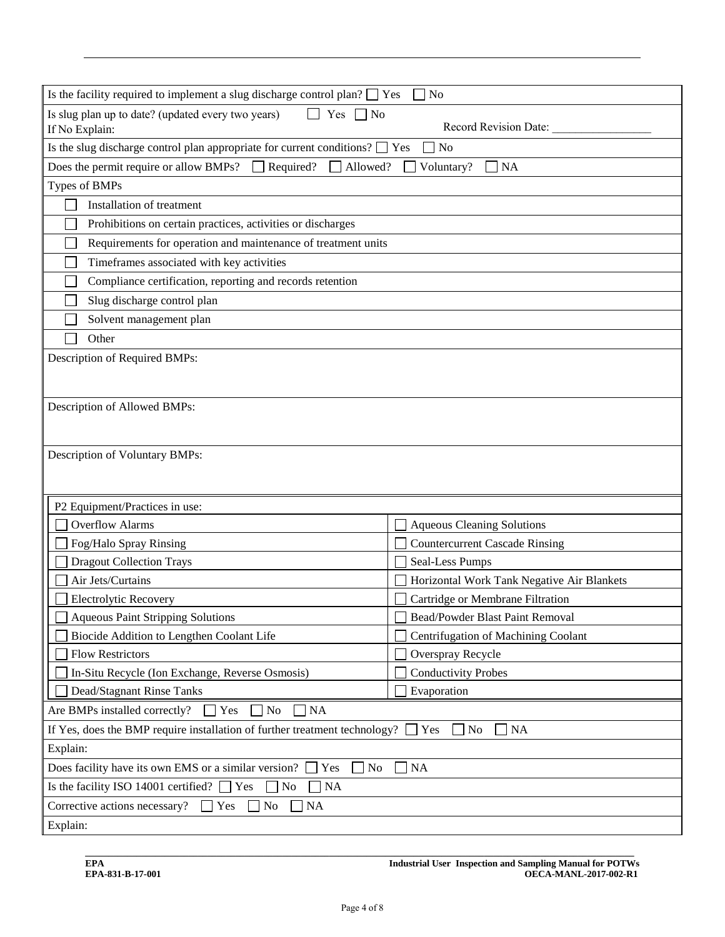| Is the facility required to implement a slug discharge control plan? $\Box$ Yes                     | N <sub>o</sub>                             |  |  |  |  |
|-----------------------------------------------------------------------------------------------------|--------------------------------------------|--|--|--|--|
| Is slug plan up to date? (updated every two years)<br>Yes $\n $ No<br>If No Explain:                | Record Revision Date:                      |  |  |  |  |
| Is the slug discharge control plan appropriate for current conditions? $\Box$ Yes<br>N <sub>o</sub> |                                            |  |  |  |  |
| Does the permit require or allow BMPs?<br>$\Box$ Required?<br>Allowed?<br>Voluntary?<br>$N_A$       |                                            |  |  |  |  |
| Types of BMPs                                                                                       |                                            |  |  |  |  |
|                                                                                                     |                                            |  |  |  |  |
| Installation of treatment                                                                           |                                            |  |  |  |  |
| Prohibitions on certain practices, activities or discharges                                         |                                            |  |  |  |  |
| Requirements for operation and maintenance of treatment units                                       |                                            |  |  |  |  |
| Timeframes associated with key activities                                                           |                                            |  |  |  |  |
| Compliance certification, reporting and records retention                                           |                                            |  |  |  |  |
| Slug discharge control plan                                                                         |                                            |  |  |  |  |
| Solvent management plan                                                                             |                                            |  |  |  |  |
| Other                                                                                               |                                            |  |  |  |  |
| Description of Required BMPs:                                                                       |                                            |  |  |  |  |
|                                                                                                     |                                            |  |  |  |  |
| Description of Allowed BMPs:                                                                        |                                            |  |  |  |  |
|                                                                                                     |                                            |  |  |  |  |
|                                                                                                     |                                            |  |  |  |  |
| Description of Voluntary BMPs:                                                                      |                                            |  |  |  |  |
|                                                                                                     |                                            |  |  |  |  |
|                                                                                                     |                                            |  |  |  |  |
| P2 Equipment/Practices in use:                                                                      |                                            |  |  |  |  |
| <b>Overflow Alarms</b>                                                                              | <b>Aqueous Cleaning Solutions</b>          |  |  |  |  |
| Fog/Halo Spray Rinsing                                                                              | <b>Countercurrent Cascade Rinsing</b>      |  |  |  |  |
| <b>Dragout Collection Trays</b>                                                                     | Seal-Less Pumps                            |  |  |  |  |
| Air Jets/Curtains                                                                                   | Horizontal Work Tank Negative Air Blankets |  |  |  |  |
| <b>Electrolytic Recovery</b>                                                                        | Cartridge or Membrane Filtration           |  |  |  |  |
| <b>Aqueous Paint Stripping Solutions</b>                                                            | Bead/Powder Blast Paint Removal            |  |  |  |  |
| Biocide Addition to Lengthen Coolant Life                                                           | Centrifugation of Machining Coolant        |  |  |  |  |
| <b>Flow Restrictors</b>                                                                             | Overspray Recycle                          |  |  |  |  |
| In-Situ Recycle (Ion Exchange, Reverse Osmosis)<br><b>Conductivity Probes</b>                       |                                            |  |  |  |  |
| Dead/Stagnant Rinse Tanks<br>Evaporation                                                            |                                            |  |  |  |  |
| <b>NA</b><br>Are BMPs installed correctly?<br>Yes<br>N <sub>0</sub>                                 |                                            |  |  |  |  |
| If Yes, does the BMP require installation of further treatment technology?<br>No<br>NA<br>Yes       |                                            |  |  |  |  |
| Explain:                                                                                            |                                            |  |  |  |  |
| Does facility have its own EMS or a similar version?<br>Yes<br>No<br><b>NA</b>                      |                                            |  |  |  |  |
| Is the facility ISO 14001 certified? [<br>Yes<br>N <sub>0</sub><br><b>NA</b><br>$\blacksquare$      |                                            |  |  |  |  |
| Corrective actions necessary?<br>Yes<br>N <sub>o</sub><br><b>NA</b>                                 |                                            |  |  |  |  |
| Explain:                                                                                            |                                            |  |  |  |  |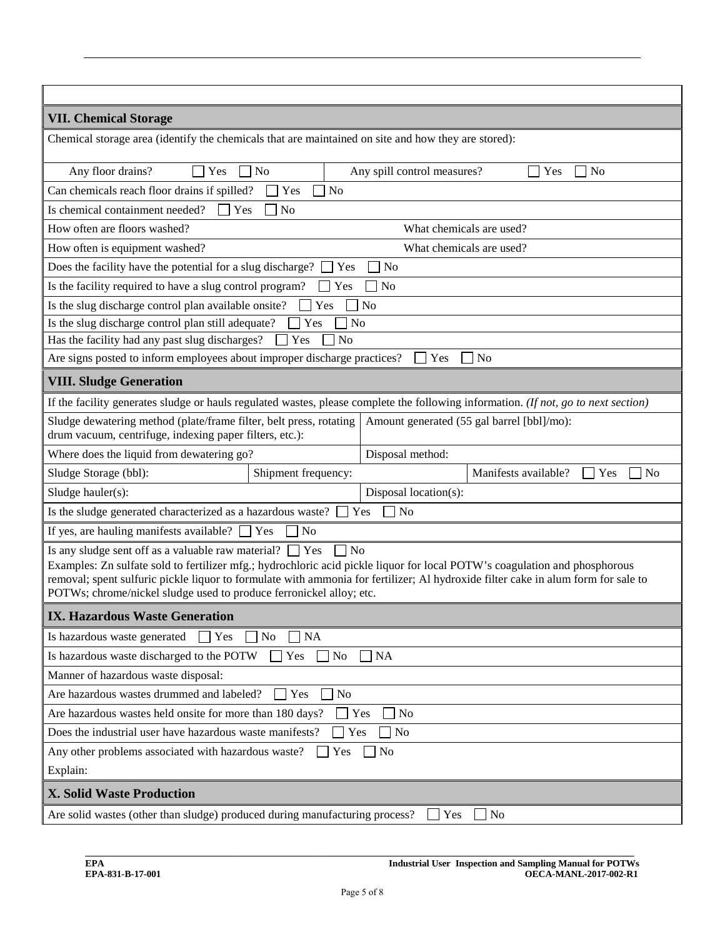| <b>VII. Chemical Storage</b>                                                                                                                                                                                                                                                                                                                                                                                         |  |  |  |  |  |  |
|----------------------------------------------------------------------------------------------------------------------------------------------------------------------------------------------------------------------------------------------------------------------------------------------------------------------------------------------------------------------------------------------------------------------|--|--|--|--|--|--|
| Chemical storage area (identify the chemicals that are maintained on site and how they are stored):                                                                                                                                                                                                                                                                                                                  |  |  |  |  |  |  |
| Any floor drains?<br>N <sub>o</sub><br>Yes<br><b>No</b><br>Any spill control measures?<br>Yes                                                                                                                                                                                                                                                                                                                        |  |  |  |  |  |  |
| Can chemicals reach floor drains if spilled?<br>Yes<br>N <sub>o</sub>                                                                                                                                                                                                                                                                                                                                                |  |  |  |  |  |  |
| Is chemical containment needed?<br>$\Box$ Yes<br>N <sub>o</sub>                                                                                                                                                                                                                                                                                                                                                      |  |  |  |  |  |  |
| How often are floors washed?<br>What chemicals are used?                                                                                                                                                                                                                                                                                                                                                             |  |  |  |  |  |  |
| How often is equipment washed?<br>What chemicals are used?                                                                                                                                                                                                                                                                                                                                                           |  |  |  |  |  |  |
| Does the facility have the potential for a slug discharge?<br>N <sub>0</sub><br>Yes                                                                                                                                                                                                                                                                                                                                  |  |  |  |  |  |  |
| Is the facility required to have a slug control program?<br>N <sub>o</sub><br>Yes                                                                                                                                                                                                                                                                                                                                    |  |  |  |  |  |  |
| Is the slug discharge control plan available onsite?<br>Yes<br>N <sub>o</sub>                                                                                                                                                                                                                                                                                                                                        |  |  |  |  |  |  |
| N <sub>o</sub><br>Is the slug discharge control plan still adequate?<br>Yes                                                                                                                                                                                                                                                                                                                                          |  |  |  |  |  |  |
| Has the facility had any past slug discharges?<br>Yes<br>N <sub>o</sub>                                                                                                                                                                                                                                                                                                                                              |  |  |  |  |  |  |
| Are signs posted to inform employees about improper discharge practices?<br>$\mathbf{Yes}$<br>N <sub>o</sub>                                                                                                                                                                                                                                                                                                         |  |  |  |  |  |  |
| <b>VIII. Sludge Generation</b>                                                                                                                                                                                                                                                                                                                                                                                       |  |  |  |  |  |  |
| If the facility generates sludge or hauls regulated wastes, please complete the following information. (If not, go to next section)                                                                                                                                                                                                                                                                                  |  |  |  |  |  |  |
| Sludge dewatering method (plate/frame filter, belt press, rotating<br>Amount generated (55 gal barrel [bbl]/mo):<br>drum vacuum, centrifuge, indexing paper filters, etc.):                                                                                                                                                                                                                                          |  |  |  |  |  |  |
| Where does the liquid from dewatering go?<br>Disposal method:                                                                                                                                                                                                                                                                                                                                                        |  |  |  |  |  |  |
| Sludge Storage (bbl):<br>Manifests available?<br>Shipment frequency:<br>Yes<br>No                                                                                                                                                                                                                                                                                                                                    |  |  |  |  |  |  |
| Sludge hauler(s):<br>Disposal location(s):                                                                                                                                                                                                                                                                                                                                                                           |  |  |  |  |  |  |
| Is the sludge generated characterized as a hazardous waste? [<br>No<br>Yes                                                                                                                                                                                                                                                                                                                                           |  |  |  |  |  |  |
| If yes, are hauling manifests available? $\Box$ Yes<br>N <sub>o</sub>                                                                                                                                                                                                                                                                                                                                                |  |  |  |  |  |  |
| $\neg$ No<br>Is any sludge sent off as a valuable raw material? $\Box$ Yes<br>Examples: Zn sulfate sold to fertilizer mfg.; hydrochloric acid pickle liquor for local POTW's coagulation and phosphorous<br>removal; spent sulfuric pickle liquor to formulate with ammonia for fertilizer; Al hydroxide filter cake in alum form for sale to<br>POTWs; chrome/nickel sludge used to produce ferronickel alloy; etc. |  |  |  |  |  |  |
| <b>IX. Hazardous Waste Generation</b>                                                                                                                                                                                                                                                                                                                                                                                |  |  |  |  |  |  |
| N <sub>o</sub><br><b>NA</b><br>Is hazardous waste generated<br>Yes<br>$\overline{\phantom{0}}$                                                                                                                                                                                                                                                                                                                       |  |  |  |  |  |  |
| $\Box$ NA<br>Yes<br>N <sub>o</sub><br>Is hazardous waste discharged to the POTW                                                                                                                                                                                                                                                                                                                                      |  |  |  |  |  |  |
| Manner of hazardous waste disposal:                                                                                                                                                                                                                                                                                                                                                                                  |  |  |  |  |  |  |
| Are hazardous wastes drummed and labeled?<br>Yes<br>N <sub>o</sub>                                                                                                                                                                                                                                                                                                                                                   |  |  |  |  |  |  |
| Yes<br><b>No</b><br>Are hazardous wastes held onsite for more than 180 days?                                                                                                                                                                                                                                                                                                                                         |  |  |  |  |  |  |
| Does the industrial user have hazardous waste manifests?<br>Yes<br>N <sub>0</sub>                                                                                                                                                                                                                                                                                                                                    |  |  |  |  |  |  |
| Any other problems associated with hazardous waste?<br>No<br>Yes<br>Explain:                                                                                                                                                                                                                                                                                                                                         |  |  |  |  |  |  |
| <b>X. Solid Waste Production</b>                                                                                                                                                                                                                                                                                                                                                                                     |  |  |  |  |  |  |
| Are solid wastes (other than sludge) produced during manufacturing process?<br>$\overline{N}$<br>Yes                                                                                                                                                                                                                                                                                                                 |  |  |  |  |  |  |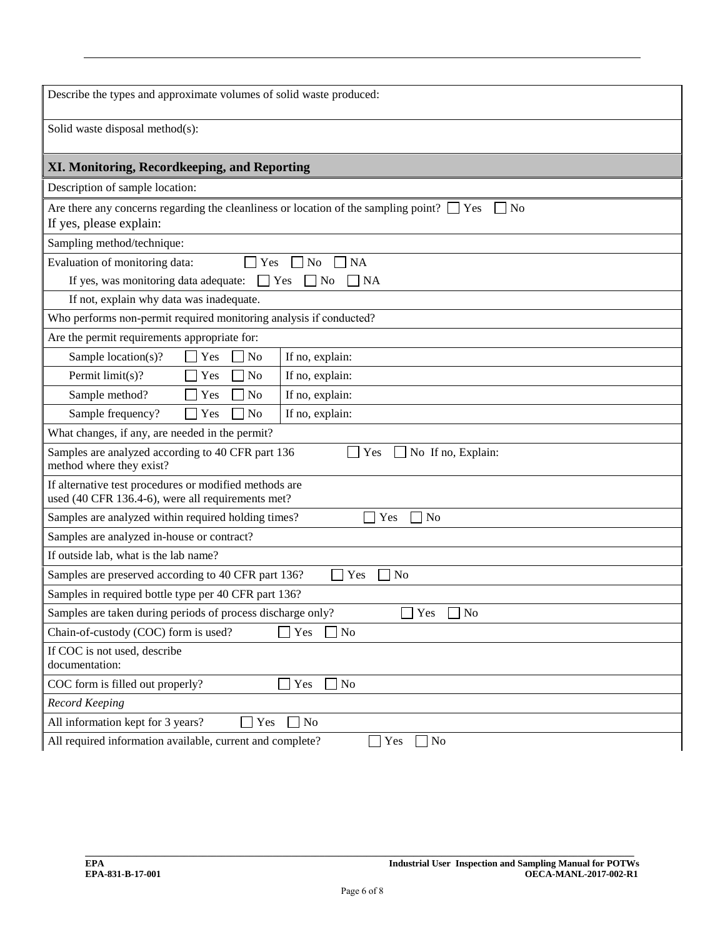| Describe the types and approximate volumes of solid waste produced:                                                                         |  |  |  |  |
|---------------------------------------------------------------------------------------------------------------------------------------------|--|--|--|--|
| Solid waste disposal method(s):                                                                                                             |  |  |  |  |
| XI. Monitoring, Recordkeeping, and Reporting                                                                                                |  |  |  |  |
| Description of sample location:                                                                                                             |  |  |  |  |
| Are there any concerns regarding the cleanliness or location of the sampling point? $\Box$ Yes<br>N <sub>0</sub><br>If yes, please explain: |  |  |  |  |
| Sampling method/technique:                                                                                                                  |  |  |  |  |
| Evaluation of monitoring data:<br><b>NA</b><br>Yes<br>N <sub>o</sub>                                                                        |  |  |  |  |
| If yes, was monitoring data adequate:<br><b>NA</b><br>$\Gamma$ Yes<br>No                                                                    |  |  |  |  |
| If not, explain why data was inadequate.                                                                                                    |  |  |  |  |
| Who performs non-permit required monitoring analysis if conducted?                                                                          |  |  |  |  |
| Are the permit requirements appropriate for:                                                                                                |  |  |  |  |
| Sample location(s)?<br>If no, explain:<br>Yes<br>No                                                                                         |  |  |  |  |
| Permit limit(s)?<br>If no, explain:<br>Yes<br>N <sub>o</sub>                                                                                |  |  |  |  |
| If no, explain:<br>Sample method?<br>N <sub>o</sub><br>Yes                                                                                  |  |  |  |  |
| If no, explain:<br>Sample frequency?<br>N <sub>o</sub><br>Yes                                                                               |  |  |  |  |
| What changes, if any, are needed in the permit?                                                                                             |  |  |  |  |
| Samples are analyzed according to 40 CFR part 136<br>Yes<br>No If no, Explain:<br>method where they exist?                                  |  |  |  |  |
| If alternative test procedures or modified methods are<br>used (40 CFR 136.4-6), were all requirements met?                                 |  |  |  |  |
| Samples are analyzed within required holding times?<br>Yes<br>N <sub>o</sub>                                                                |  |  |  |  |
| Samples are analyzed in-house or contract?                                                                                                  |  |  |  |  |
| If outside lab, what is the lab name?                                                                                                       |  |  |  |  |
| Samples are preserved according to 40 CFR part 136?<br>Yes<br>N <sub>o</sub>                                                                |  |  |  |  |
| Samples in required bottle type per 40 CFR part 136?                                                                                        |  |  |  |  |
| Samples are taken during periods of process discharge only?<br>Yes<br>N <sub>o</sub>                                                        |  |  |  |  |
| Chain-of-custody (COC) form is used?<br>Yes<br>No                                                                                           |  |  |  |  |
| If COC is not used, describe<br>documentation:                                                                                              |  |  |  |  |
| COC form is filled out properly?<br>Yes<br>N <sub>o</sub>                                                                                   |  |  |  |  |
| <b>Record Keeping</b>                                                                                                                       |  |  |  |  |
| All information kept for 3 years?<br>N <sub>o</sub><br>Yes                                                                                  |  |  |  |  |
| All required information available, current and complete?<br>$\sqrt{N}$<br>Yes                                                              |  |  |  |  |

**\_\_\_\_\_\_\_\_\_\_\_\_\_\_\_\_\_\_\_\_\_\_\_\_\_\_\_\_\_\_\_\_\_\_\_\_\_\_\_\_\_\_\_\_\_\_\_\_\_\_\_\_\_\_\_\_\_\_\_\_\_\_\_\_\_\_\_\_\_\_\_\_\_\_\_\_\_\_\_\_\_\_\_\_\_\_\_\_\_\_\_\_\_\_\_\_\_\_\_\_\_\_\_\_\_\_\_\_\_\_\_\_\_\_\_\_\_**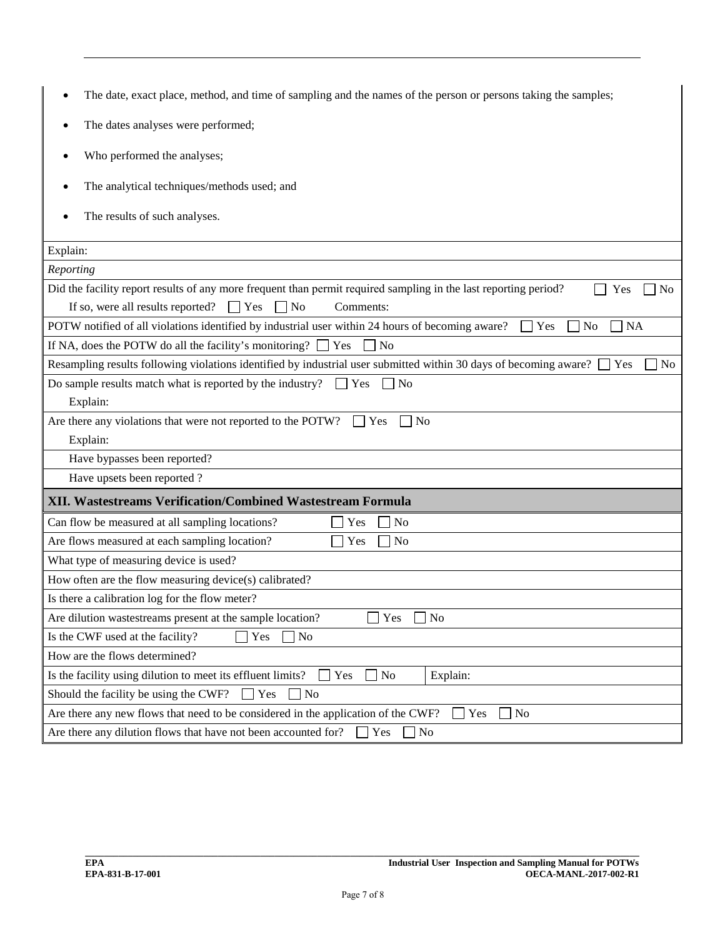| The date, exact place, method, and time of sampling and the names of the person or persons taking the samples;                                                                                                                      |
|-------------------------------------------------------------------------------------------------------------------------------------------------------------------------------------------------------------------------------------|
| The dates analyses were performed;                                                                                                                                                                                                  |
| Who performed the analyses;                                                                                                                                                                                                         |
| The analytical techniques/methods used; and                                                                                                                                                                                         |
| The results of such analyses.                                                                                                                                                                                                       |
| Explain:                                                                                                                                                                                                                            |
| Reporting                                                                                                                                                                                                                           |
| Did the facility report results of any more frequent than permit required sampling in the last reporting period?<br>Yes<br>No<br>If so, were all results reported?<br>Yes<br><b>No</b><br>Comments:<br>$\mathbf{I}$<br>$\mathsf{L}$ |
| POTW notified of all violations identified by industrial user within 24 hours of becoming aware?<br>Yes<br>N <sub>o</sub><br><b>NA</b>                                                                                              |
| If NA, does the POTW do all the facility's monitoring?<br>$\Box$ Yes<br>N <sub>o</sub>                                                                                                                                              |
| Resampling results following violations identified by industrial user submitted within 30 days of becoming aware?<br>Yes<br>No.                                                                                                     |
| Do sample results match what is reported by the industry?<br>$\Box$ Yes<br>$\Box$ No                                                                                                                                                |
| Explain:                                                                                                                                                                                                                            |
| Are there any violations that were not reported to the POTW?<br>$\overline{N}$<br><b>Yes</b>                                                                                                                                        |
| Explain:                                                                                                                                                                                                                            |
| Have bypasses been reported?                                                                                                                                                                                                        |
| Have upsets been reported?                                                                                                                                                                                                          |
| XII. Wastestreams Verification/Combined Wastestream Formula                                                                                                                                                                         |
| Can flow be measured at all sampling locations?<br>Yes<br>N <sub>o</sub>                                                                                                                                                            |
| Are flows measured at each sampling location?<br>Yes<br>N <sub>o</sub>                                                                                                                                                              |
| What type of measuring device is used?                                                                                                                                                                                              |
| How often are the flow measuring device(s) calibrated?                                                                                                                                                                              |
| Is there a calibration log for the flow meter?                                                                                                                                                                                      |
| Are dilution wastestreams present at the sample location?<br>$\blacksquare$ Yes<br>] No                                                                                                                                             |
| Yes<br>No.<br>Is the CWF used at the facility?                                                                                                                                                                                      |
| How are the flows determined?                                                                                                                                                                                                       |
| Is the facility using dilution to meet its effluent limits?<br>Yes<br>N <sub>o</sub><br>Explain:                                                                                                                                    |
| Should the facility be using the CWF?<br>Yes<br>No                                                                                                                                                                                  |
| N <sub>o</sub><br>Are there any new flows that need to be considered in the application of the CWF?<br>Yes                                                                                                                          |
| Are there any dilution flows that have not been accounted for?<br>Yes<br>$\Box$ No                                                                                                                                                  |